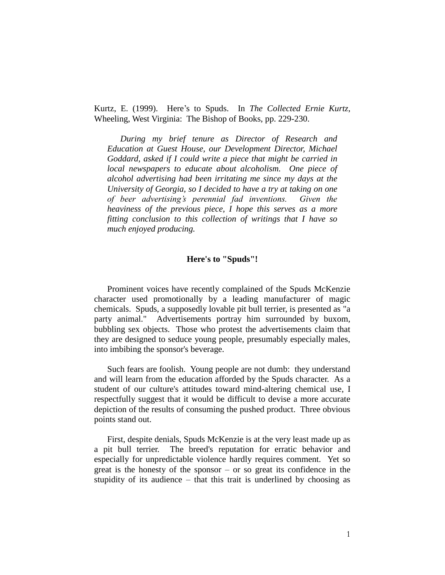Kurtz, E. (1999). Here's to Spuds. In *The Collected Ernie Kurtz*, Wheeling, West Virginia: The Bishop of Books, pp. 229-230.

*During my brief tenure as Director of Research and Education at Guest House, our Development Director, Michael Goddard, asked if I could write a piece that might be carried in local newspapers to educate about alcoholism. One piece of alcohol advertising had been irritating me since my days at the University of Georgia, so I decided to have a try at taking on one of beer advertising's perennial fad inventions. Given the heaviness of the previous piece, I hope this serves as a more fitting conclusion to this collection of writings that I have so much enjoyed producing.*

## **Here's to "Spuds"!**

Prominent voices have recently complained of the Spuds McKenzie character used promotionally by a leading manufacturer of magic chemicals. Spuds, a supposedly lovable pit bull terrier, is presented as "a party animal." Advertisements portray him surrounded by buxom, bubbling sex objects. Those who protest the advertisements claim that they are designed to seduce young people, presumably especially males, into imbibing the sponsor's beverage.

Such fears are foolish. Young people are not dumb: they understand and will learn from the education afforded by the Spuds character. As a student of our culture's attitudes toward mind-altering chemical use, I respectfully suggest that it would be difficult to devise a more accurate depiction of the results of consuming the pushed product. Three obvious points stand out.

First, despite denials, Spuds McKenzie is at the very least made up as a pit bull terrier. The breed's reputation for erratic behavior and especially for unpredictable violence hardly requires comment. Yet so great is the honesty of the sponsor  $-$  or so great its confidence in the stupidity of its audience – that this trait is underlined by choosing as